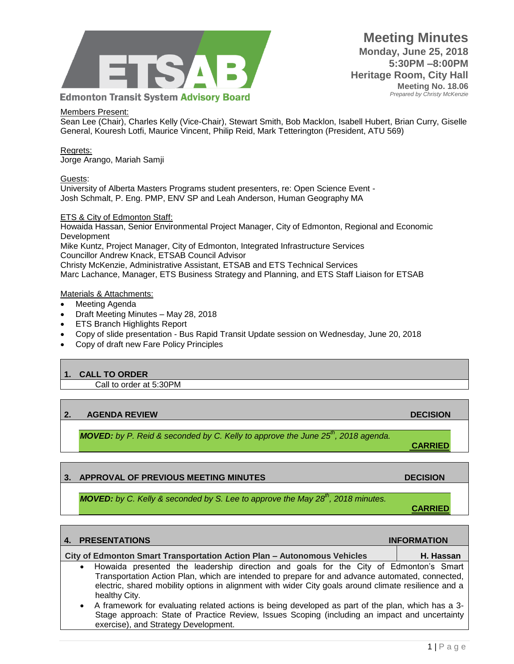

## Members Present:

Sean Lee (Chair), Charles Kelly (Vice-Chair), Stewart Smith, Bob Macklon, Isabell Hubert, Brian Curry, Giselle General, Kouresh Lotfi, Maurice Vincent, Philip Reid, Mark Tetterington (President, ATU 569)

Regrets: Jorge Arango, Mariah Samji

### Guests:

University of Alberta Masters Programs student presenters, re: Open Science Event - Josh Schmalt, P. Eng. PMP, ENV SP and Leah Anderson, Human Geography MA

### ETS & City of Edmonton Staff:

Howaida Hassan, Senior Environmental Project Manager, City of Edmonton, Regional and Economic Development Mike Kuntz, Project Manager, City of Edmonton, Integrated Infrastructure Services Councillor Andrew Knack, ETSAB Council Advisor Christy McKenzie, Administrative Assistant, ETSAB and ETS Technical Services Marc Lachance, Manager, ETS Business Strategy and Planning, and ETS Staff Liaison for ETSAB

### Materials & Attachments:

- Meeting Agenda
- Draft Meeting Minutes May 28, 2018
- ETS Branch Highlights Report
- Copy of slide presentation Bus Rapid Transit Update session on Wednesday, June 20, 2018
- Copy of draft new Fare Policy Principles

## **1. CALL TO ORDER**

Call to order at 5:30PM

# **2. AGENDA REVIEW DECISION**

*MOVED: by P. Reid & seconded by C. Kelly to approve the June 25th, 2018 agenda.*

## **3. APPROVAL OF PREVIOUS MEETING MINUTES ARE ALCOHOLY AND DECISION CONTROL OF PREVIOUS MEETING MINUTES**

*MOVED: by C. Kelly & seconded by S. Lee to approve the May 28th, 2018 minutes.*

**4. PRESENTATIONS INFORMATION City of Edmonton Smart Transportation Action Plan – Autonomous Vehicles | H. Hassan**  Howaida presented the leadership direction and goals for the City of Edmonton's Smart Transportation Action Plan, which are intended to prepare for and advance automated, connected, electric, shared mobility options in alignment with wider City goals around climate resilience and a healthy City. A framework for evaluating related actions is being developed as part of the plan, which has a 3- Stage approach: State of Practice Review, Issues Scoping (including an impact and uncertainty exercise), and Strategy Development.

**CARRIED**

**CARRIED**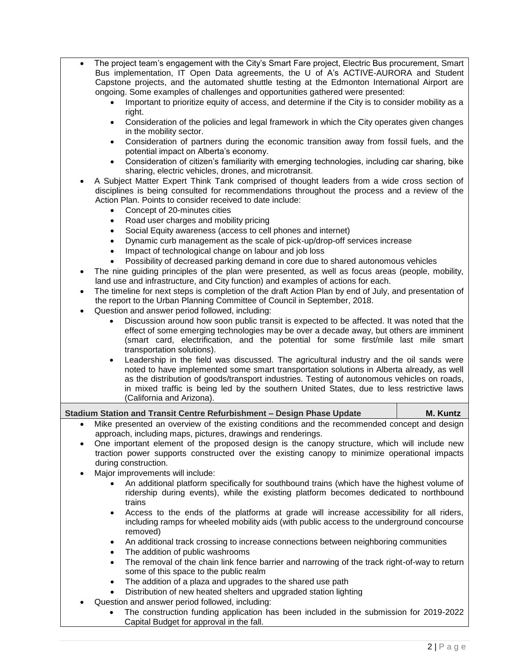- The project team's engagement with the City's Smart Fare project, Electric Bus procurement, Smart Bus implementation, IT Open Data agreements, the U of A's ACTIVE-AURORA and Student Capstone projects, and the automated shuttle testing at the Edmonton International Airport are ongoing. Some examples of challenges and opportunities gathered were presented:
	- Important to prioritize equity of access, and determine if the City is to consider mobility as a right.
	- Consideration of the policies and legal framework in which the City operates given changes in the mobility sector.
	- Consideration of partners during the economic transition away from fossil fuels, and the potential impact on Alberta's economy.
	- Consideration of citizen's familiarity with emerging technologies, including car sharing, bike sharing, electric vehicles, drones, and microtransit.
- A Subject Matter Expert Think Tank comprised of thought leaders from a wide cross section of disciplines is being consulted for recommendations throughout the process and a review of the Action Plan. Points to consider received to date include:
	- Concept of 20-minutes cities
	- Road user charges and mobility pricing
	- Social Equity awareness (access to cell phones and internet)
	- Dynamic curb management as the scale of pick-up/drop-off services increase
	- Impact of technological change on labour and job loss
	- Possibility of decreased parking demand in core due to shared autonomous vehicles
- The nine guiding principles of the plan were presented, as well as focus areas (people, mobility, land use and infrastructure, and City function) and examples of actions for each.
- The timeline for next steps is completion of the draft Action Plan by end of July, and presentation of the report to the Urban Planning Committee of Council in September, 2018.
- Question and answer period followed, including:
	- Discussion around how soon public transit is expected to be affected. It was noted that the effect of some emerging technologies may be over a decade away, but others are imminent (smart card, electrification, and the potential for some first/mile last mile smart transportation solutions).
	- Leadership in the field was discussed. The agricultural industry and the oil sands were noted to have implemented some smart transportation solutions in Alberta already, as well as the distribution of goods/transport industries. Testing of autonomous vehicles on roads, in mixed traffic is being led by the southern United States, due to less restrictive laws (California and Arizona).

## **Stadium Station and Transit Centre Refurbishment – Design Phase Update** M. Kuntz

- Mike presented an overview of the existing conditions and the recommended concept and design approach, including maps, pictures, drawings and renderings.
- One important element of the proposed design is the canopy structure, which will include new traction power supports constructed over the existing canopy to minimize operational impacts during construction.
- Major improvements will include:
	- An additional platform specifically for southbound trains (which have the highest volume of ridership during events), while the existing platform becomes dedicated to northbound trains
	- Access to the ends of the platforms at grade will increase accessibility for all riders, including ramps for wheeled mobility aids (with public access to the underground concourse removed)
	- An additional track crossing to increase connections between neighboring communities
	- The addition of public washrooms
	- The removal of the chain link fence barrier and narrowing of the track right-of-way to return some of this space to the public realm
	- The addition of a plaza and upgrades to the shared use path
	- Distribution of new heated shelters and upgraded station lighting
- Question and answer period followed, including:
	- The construction funding application has been included in the submission for 2019-2022 Capital Budget for approval in the fall.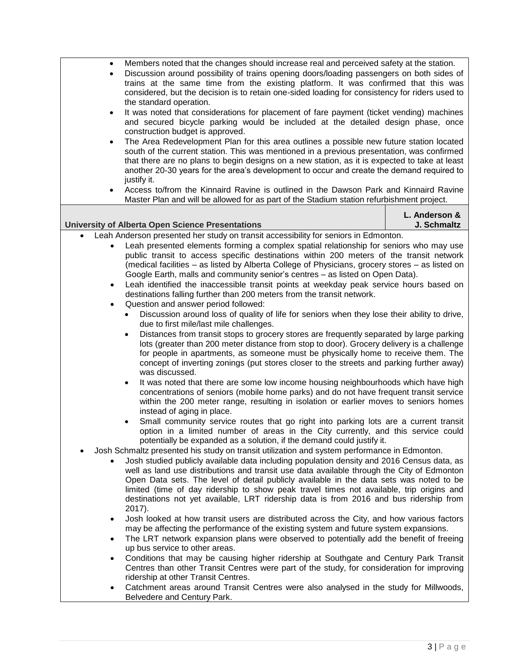| Members noted that the changes should increase real and perceived safety at the station.<br>$\bullet$<br>Discussion around possibility of trains opening doors/loading passengers on both sides of<br>$\bullet$<br>trains at the same time from the existing platform. It was confirmed that this was<br>considered, but the decision is to retain one-sided loading for consistency for riders used to<br>the standard operation.                                                                                                                                                                          |                              |
|-------------------------------------------------------------------------------------------------------------------------------------------------------------------------------------------------------------------------------------------------------------------------------------------------------------------------------------------------------------------------------------------------------------------------------------------------------------------------------------------------------------------------------------------------------------------------------------------------------------|------------------------------|
| It was noted that considerations for placement of fare payment (ticket vending) machines<br>$\bullet$<br>and secured bicycle parking would be included at the detailed design phase, once<br>construction budget is approved.                                                                                                                                                                                                                                                                                                                                                                               |                              |
| The Area Redevelopment Plan for this area outlines a possible new future station located<br>$\bullet$<br>south of the current station. This was mentioned in a previous presentation, was confirmed<br>that there are no plans to begin designs on a new station, as it is expected to take at least<br>another 20-30 years for the area's development to occur and create the demand required to<br>justify it.                                                                                                                                                                                            |                              |
| Access to/from the Kinnaird Ravine is outlined in the Dawson Park and Kinnaird Ravine<br>٠<br>Master Plan and will be allowed for as part of the Stadium station refurbishment project.                                                                                                                                                                                                                                                                                                                                                                                                                     |                              |
| <b>University of Alberta Open Science Presentations</b>                                                                                                                                                                                                                                                                                                                                                                                                                                                                                                                                                     | L. Anderson &<br>J. Schmaltz |
| Leah Anderson presented her study on transit accessibility for seniors in Edmonton.                                                                                                                                                                                                                                                                                                                                                                                                                                                                                                                         |                              |
| Leah presented elements forming a complex spatial relationship for seniors who may use<br>public transit to access specific destinations within 200 meters of the transit network<br>(medical facilities - as listed by Alberta College of Physicians, grocery stores - as listed on<br>Google Earth, malls and community senior's centres - as listed on Open Data).<br>Leah identified the inaccessible transit points at weekday peak service hours based on<br>$\bullet$<br>destinations falling further than 200 meters from the transit network.<br>Question and answer period followed:<br>$\bullet$ |                              |
| Discussion around loss of quality of life for seniors when they lose their ability to drive,<br>$\bullet$<br>due to first mile/last mile challenges.                                                                                                                                                                                                                                                                                                                                                                                                                                                        |                              |
| Distances from transit stops to grocery stores are frequently separated by large parking<br>$\bullet$<br>lots (greater than 200 meter distance from stop to door). Grocery delivery is a challenge<br>for people in apartments, as someone must be physically home to receive them. The<br>concept of inverting zonings (put stores closer to the streets and parking further away)<br>was discussed.                                                                                                                                                                                                       |                              |
| It was noted that there are some low income housing neighbourhoods which have high<br>٠<br>concentrations of seniors (mobile home parks) and do not have frequent transit service<br>within the 200 meter range, resulting in isolation or earlier moves to seniors homes<br>instead of aging in place.                                                                                                                                                                                                                                                                                                     |                              |
| Small community service routes that go right into parking lots are a current transit<br>option in a limited number of areas in the City currently, and this service could<br>potentially be expanded as a solution, if the demand could justify it.                                                                                                                                                                                                                                                                                                                                                         |                              |
| Josh Schmaltz presented his study on transit utilization and system performance in Edmonton.<br>Josh studied publicly available data including population density and 2016 Census data, as<br>well as land use distributions and transit use data available through the City of Edmonton<br>Open Data sets. The level of detail publicly available in the data sets was noted to be<br>limited (time of day ridership to show peak travel times not available, trip origins and<br>destinations not yet available, LRT ridership data is from 2016 and bus ridership from                                   |                              |
| 2017).<br>Josh looked at how transit users are distributed across the City, and how various factors<br>$\bullet$                                                                                                                                                                                                                                                                                                                                                                                                                                                                                            |                              |
| may be affecting the performance of the existing system and future system expansions.<br>The LRT network expansion plans were observed to potentially add the benefit of freeing<br>$\bullet$<br>up bus service to other areas.                                                                                                                                                                                                                                                                                                                                                                             |                              |
| Conditions that may be causing higher ridership at Southgate and Century Park Transit<br>$\bullet$<br>Centres than other Transit Centres were part of the study, for consideration for improving<br>ridership at other Transit Centres.                                                                                                                                                                                                                                                                                                                                                                     |                              |
| Catchment areas around Transit Centres were also analysed in the study for Millwoods,<br>Belvedere and Century Park.                                                                                                                                                                                                                                                                                                                                                                                                                                                                                        |                              |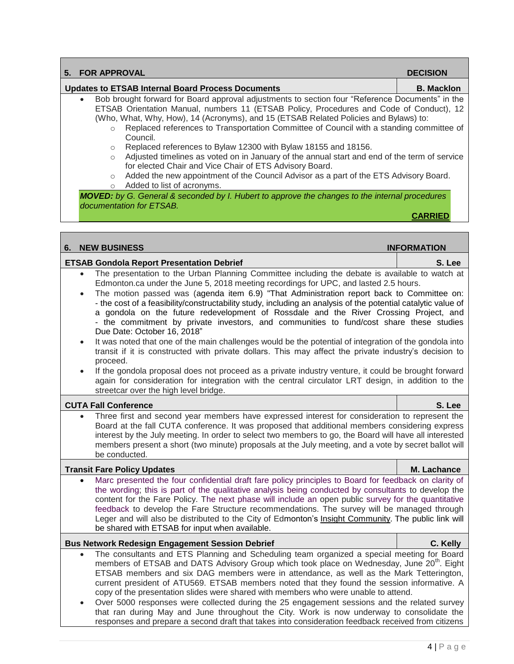| 5. | <b>FOR APPROVAL</b>                                                                                                                                                                                                                                                                                                                                                                                                                                                                                                                                                                                                                                                                                                                                                                                                                                                                                                                                                                                                                                                                                                                                                                | <b>DECISION</b>    |
|----|------------------------------------------------------------------------------------------------------------------------------------------------------------------------------------------------------------------------------------------------------------------------------------------------------------------------------------------------------------------------------------------------------------------------------------------------------------------------------------------------------------------------------------------------------------------------------------------------------------------------------------------------------------------------------------------------------------------------------------------------------------------------------------------------------------------------------------------------------------------------------------------------------------------------------------------------------------------------------------------------------------------------------------------------------------------------------------------------------------------------------------------------------------------------------------|--------------------|
|    | <b>Updates to ETSAB Internal Board Process Documents</b>                                                                                                                                                                                                                                                                                                                                                                                                                                                                                                                                                                                                                                                                                                                                                                                                                                                                                                                                                                                                                                                                                                                           | <b>B. Macklon</b>  |
|    | Bob brought forward for Board approval adjustments to section four "Reference Documents" in the<br>ETSAB Orientation Manual, numbers 11 (ETSAB Policy, Procedures and Code of Conduct), 12<br>(Who, What, Why, How), 14 (Acronyms), and 15 (ETSAB Related Policies and Bylaws) to:<br>Replaced references to Transportation Committee of Council with a standing committee of<br>$\circ$<br>Council.<br>Replaced references to Bylaw 12300 with Bylaw 18155 and 18156.<br>$\circ$<br>Adjusted timelines as voted on in January of the annual start and end of the term of service<br>$\circ$<br>for elected Chair and Vice Chair of ETS Advisory Board.<br>Added the new appointment of the Council Advisor as a part of the ETS Advisory Board.<br>$\circ$<br>Added to list of acronyms.<br>$\circ$<br>MOVED: by G. General & seconded by I. Hubert to approve the changes to the internal procedures<br>documentation for ETSAB.                                                                                                                                                                                                                                                 | <b>CARRIED</b>     |
|    |                                                                                                                                                                                                                                                                                                                                                                                                                                                                                                                                                                                                                                                                                                                                                                                                                                                                                                                                                                                                                                                                                                                                                                                    |                    |
| 6. | <b>NEW BUSINESS</b>                                                                                                                                                                                                                                                                                                                                                                                                                                                                                                                                                                                                                                                                                                                                                                                                                                                                                                                                                                                                                                                                                                                                                                | <b>INFORMATION</b> |
|    | <b>ETSAB Gondola Report Presentation Debrief</b>                                                                                                                                                                                                                                                                                                                                                                                                                                                                                                                                                                                                                                                                                                                                                                                                                                                                                                                                                                                                                                                                                                                                   | S. Lee             |
|    | The presentation to the Urban Planning Committee including the debate is available to watch at<br>$\bullet$<br>Edmonton.ca under the June 5, 2018 meeting recordings for UPC, and lasted 2.5 hours.<br>The motion passed was (agenda item 6.9) "That Administration report back to Committee on:<br>- the cost of a feasibility/constructability study, including an analysis of the potential catalytic value of<br>a gondola on the future redevelopment of Rossdale and the River Crossing Project, and<br>- the commitment by private investors, and communities to fund/cost share these studies<br>Due Date: October 16, 2018"<br>It was noted that one of the main challenges would be the potential of integration of the gondola into<br>$\bullet$<br>transit if it is constructed with private dollars. This may affect the private industry's decision to<br>proceed.<br>If the gondola proposal does not proceed as a private industry venture, it could be brought forward<br>$\bullet$<br>again for consideration for integration with the central circulator LRT design, in addition to the<br>streetcar over the high level bridge.<br><b>CUTA Fall Conference</b> | S. Lee             |
|    | Three first and second year members have expressed interest for consideration to represent the                                                                                                                                                                                                                                                                                                                                                                                                                                                                                                                                                                                                                                                                                                                                                                                                                                                                                                                                                                                                                                                                                     |                    |
|    | Board at the fall CUTA conference. It was proposed that additional members considering express<br>interest by the July meeting. In order to select two members to go, the Board will have all interested<br>members present a short (two minute) proposals at the July meeting, and a vote by secret ballot will<br>be conducted.                                                                                                                                                                                                                                                                                                                                                                                                                                                                                                                                                                                                                                                                                                                                                                                                                                                  |                    |
|    | <b>Transit Fare Policy Updates</b>                                                                                                                                                                                                                                                                                                                                                                                                                                                                                                                                                                                                                                                                                                                                                                                                                                                                                                                                                                                                                                                                                                                                                 | M. Lachance        |
|    | Marc presented the four confidential draft fare policy principles to Board for feedback on clarity of<br>the wording; this is part of the qualitative analysis being conducted by consultants to develop the<br>content for the Fare Policy. The next phase will include an open public survey for the quantitative<br>feedback to develop the Fare Structure recommendations. The survey will be managed through<br>Leger and will also be distributed to the City of Edmonton's Insight Community. The public link will<br>be shared with ETSAB for input when available.                                                                                                                                                                                                                                                                                                                                                                                                                                                                                                                                                                                                        |                    |
|    | <b>Bus Network Redesign Engagement Session Debrief</b>                                                                                                                                                                                                                                                                                                                                                                                                                                                                                                                                                                                                                                                                                                                                                                                                                                                                                                                                                                                                                                                                                                                             | C. Kelly           |
|    | The consultants and ETS Planning and Scheduling team organized a special meeting for Board<br>$\bullet$<br>members of ETSAB and DATS Advisory Group which took place on Wednesday, June 20 <sup>th</sup> . Eight<br>ETSAB members and six DAG members were in attendance, as well as the Mark Tetterington,<br>current president of ATU569. ETSAB members noted that they found the session informative. A<br>copy of the presentation slides were shared with members who were unable to attend.<br>Over 5000 responses were collected during the 25 engagement sessions and the related survey<br>$\bullet$<br>that ran during May and June throughout the City. Work is now underway to consolidate the<br>responses and prepare a second draft that takes into consideration feedback received from citizens                                                                                                                                                                                                                                                                                                                                                                   |                    |

 $\Box$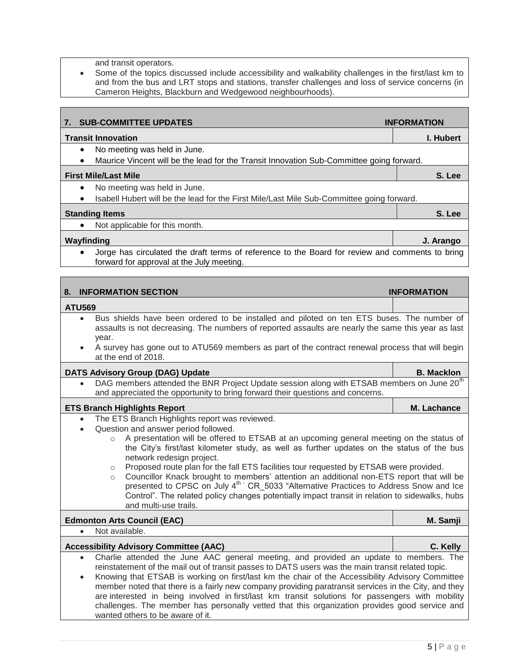and transit operators.

 Some of the topics discussed include accessibility and walkability challenges in the first/last km to and from the bus and LRT stops and stations, transfer challenges and loss of service concerns (in Cameron Heights, Blackburn and Wedgewood neighbourhoods).

| 7.                     | <b>SUB-COMMITTEE UPDATES</b>                                                                                                                                                                                                                                                                                                                                                                                                                                                                                                                                                                                                                                                                                                                                       | <b>INFORMATION</b> |
|------------------------|--------------------------------------------------------------------------------------------------------------------------------------------------------------------------------------------------------------------------------------------------------------------------------------------------------------------------------------------------------------------------------------------------------------------------------------------------------------------------------------------------------------------------------------------------------------------------------------------------------------------------------------------------------------------------------------------------------------------------------------------------------------------|--------------------|
|                        | <b>Transit Innovation</b>                                                                                                                                                                                                                                                                                                                                                                                                                                                                                                                                                                                                                                                                                                                                          | I. Hubert          |
| $\bullet$<br>$\bullet$ | No meeting was held in June.<br>Maurice Vincent will be the lead for the Transit Innovation Sub-Committee going forward.                                                                                                                                                                                                                                                                                                                                                                                                                                                                                                                                                                                                                                           |                    |
|                        | <b>First Mile/Last Mile</b>                                                                                                                                                                                                                                                                                                                                                                                                                                                                                                                                                                                                                                                                                                                                        | S. Lee             |
|                        | No meeting was held in June.                                                                                                                                                                                                                                                                                                                                                                                                                                                                                                                                                                                                                                                                                                                                       |                    |
| ٠                      | Isabell Hubert will be the lead for the First Mile/Last Mile Sub-Committee going forward.                                                                                                                                                                                                                                                                                                                                                                                                                                                                                                                                                                                                                                                                          |                    |
|                        | <b>Standing Items</b>                                                                                                                                                                                                                                                                                                                                                                                                                                                                                                                                                                                                                                                                                                                                              | S. Lee             |
|                        | Not applicable for this month.                                                                                                                                                                                                                                                                                                                                                                                                                                                                                                                                                                                                                                                                                                                                     |                    |
| Wayfinding             |                                                                                                                                                                                                                                                                                                                                                                                                                                                                                                                                                                                                                                                                                                                                                                    | J. Arango          |
|                        | Jorge has circulated the draft terms of reference to the Board for review and comments to bring<br>forward for approval at the July meeting.                                                                                                                                                                                                                                                                                                                                                                                                                                                                                                                                                                                                                       |                    |
|                        |                                                                                                                                                                                                                                                                                                                                                                                                                                                                                                                                                                                                                                                                                                                                                                    |                    |
| 8.                     | <b>INFORMATION SECTION</b>                                                                                                                                                                                                                                                                                                                                                                                                                                                                                                                                                                                                                                                                                                                                         | <b>INFORMATION</b> |
| <b>ATU569</b>          |                                                                                                                                                                                                                                                                                                                                                                                                                                                                                                                                                                                                                                                                                                                                                                    |                    |
| $\bullet$              | Bus shields have been ordered to be installed and piloted on ten ETS buses. The number of<br>assaults is not decreasing. The numbers of reported assaults are nearly the same this year as last<br>year.<br>A survey has gone out to ATU569 members as part of the contract renewal process that will begin<br>at the end of 2018.                                                                                                                                                                                                                                                                                                                                                                                                                                 |                    |
|                        |                                                                                                                                                                                                                                                                                                                                                                                                                                                                                                                                                                                                                                                                                                                                                                    |                    |
|                        | <b>DATS Advisory Group (DAG) Update</b><br>DAG members attended the BNR Project Update session along with ETSAB members on June 20 <sup>th</sup><br>and appreciated the opportunity to bring forward their questions and concerns.                                                                                                                                                                                                                                                                                                                                                                                                                                                                                                                                 | <b>B. Macklon</b>  |
|                        | <b>ETS Branch Highlights Report</b>                                                                                                                                                                                                                                                                                                                                                                                                                                                                                                                                                                                                                                                                                                                                | M. Lachance        |
| $\bullet$<br>$\bullet$ | The ETS Branch Highlights report was reviewed.<br>Question and answer period followed.<br>A presentation will be offered to ETSAB at an upcoming general meeting on the status of<br>$\circ$<br>the City's first/last kilometer study, as well as further updates on the status of the bus<br>network redesign project.<br>Proposed route plan for the fall ETS facilities tour requested by ETSAB were provided.<br>$\circ$<br>Councillor Knack brought to members' attention an additional non-ETS report that will be<br>$\circ$<br>presented to CPSC on July 4 <sup>th</sup> CR_5033 "Alternative Practices to Address Snow and Ice<br>Control". The related policy changes potentially impact transit in relation to sidewalks, hubs<br>and multi-use trails. |                    |
|                        | <b>Edmonton Arts Council (EAC)</b>                                                                                                                                                                                                                                                                                                                                                                                                                                                                                                                                                                                                                                                                                                                                 | M. Samji           |
| $\bullet$              | Not available.                                                                                                                                                                                                                                                                                                                                                                                                                                                                                                                                                                                                                                                                                                                                                     |                    |
|                        | <b>Accessibility Advisory Committee (AAC)</b>                                                                                                                                                                                                                                                                                                                                                                                                                                                                                                                                                                                                                                                                                                                      | C. Kelly           |
| $\bullet$<br>$\bullet$ | Charlie attended the June AAC general meeting, and provided an update to members. The<br>reinstatement of the mail out of transit passes to DATS users was the main transit related topic.<br>Knowing that ETSAB is working on first/last km the chair of the Accessibility Advisory Committee<br>member noted that there is a fairly new company providing paratransit services in the City, and they<br>are interested in being involved in first/last km transit solutions for passengers with mobility<br>challenges. The member has personally vetted that this organization provides good service and<br>wanted others to be aware of it.                                                                                                                    |                    |